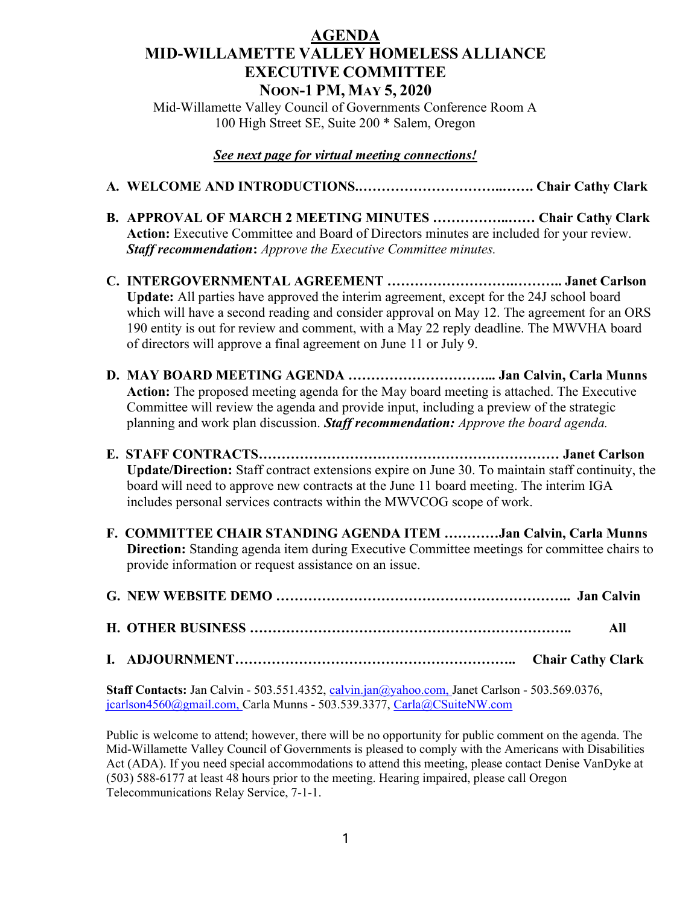## AGENDA MID-WILLAMETTE VALLEY HOMELESS ALLIANCE EXECUTIVE COMMITTEE NOON-1 PM, MAY 5, 2020

Mid-Willamette Valley Council of Governments Conference Room A 100 High Street SE, Suite 200 \* Salem, Oregon

## See next page for virtual meeting connections!

- A. WELCOME AND INTRODUCTIONS.…………………………..……. Chair Cathy Clark
- B. APPROVAL OF MARCH 2 MEETING MINUTES ……………..…… Chair Cathy Clark Action: Executive Committee and Board of Directors minutes are included for your review. **Staff recommendation:** Approve the Executive Committee minutes.
- C. INTERGOVERNMENTAL AGREEMENT ……………………….……….. Janet Carlson Update: All parties have approved the interim agreement, except for the 24J school board which will have a second reading and consider approval on May 12. The agreement for an ORS 190 entity is out for review and comment, with a May 22 reply deadline. The MWVHA board of directors will approve a final agreement on June 11 or July 9.
- D. MAY BOARD MEETING AGENDA …………………………... Jan Calvin, Carla Munns Action: The proposed meeting agenda for the May board meeting is attached. The Executive Committee will review the agenda and provide input, including a preview of the strategic planning and work plan discussion. Staff recommendation: Approve the board agenda.
- E. STAFF CONTRACTS………………………………………………………… Janet Carlson Update/Direction: Staff contract extensions expire on June 30. To maintain staff continuity, the board will need to approve new contracts at the June 11 board meeting. The interim IGA includes personal services contracts within the MWVCOG scope of work.
- F. COMMITTEE CHAIR STANDING AGENDA ITEM …………Jan Calvin, Carla Munns Direction: Standing agenda item during Executive Committee meetings for committee chairs to provide information or request assistance on an issue.

Staff Contacts: Jan Calvin - 503.551.4352, calvin.jan@yahoo.com, Janet Carlson - 503.569.0376, jcarlson4560@gmail.com, Carla Munns - 503.539.3377, Carla@CSuiteNW.com

Public is welcome to attend; however, there will be no opportunity for public comment on the agenda. The Mid-Willamette Valley Council of Governments is pleased to comply with the Americans with Disabilities Act (ADA). If you need special accommodations to attend this meeting, please contact Denise VanDyke at (503) 588-6177 at least 48 hours prior to the meeting. Hearing impaired, please call Oregon Telecommunications Relay Service, 7-1-1.